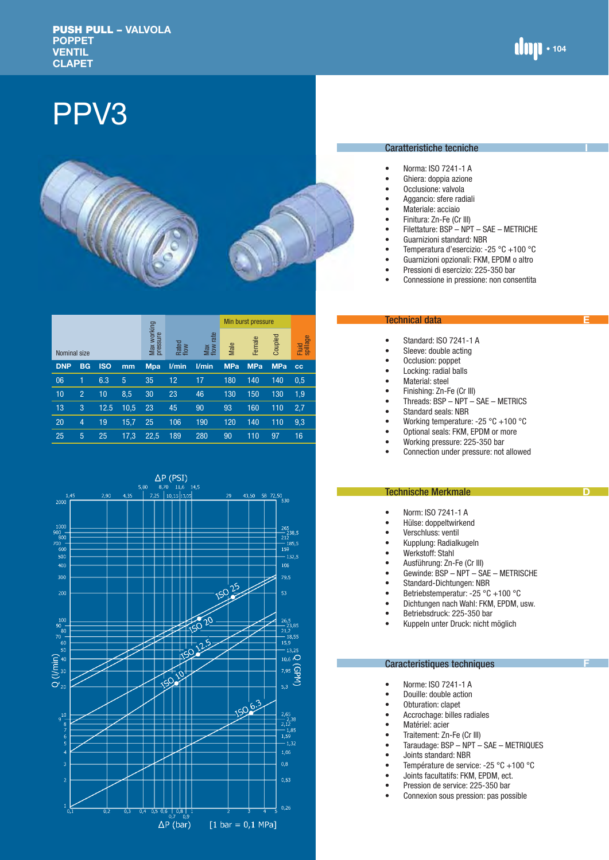**I**

**E**

**D**

# PPV3



|            | Nominal size   |            |                            |               |                     | Min burst pressure |            |            |                   |           |
|------------|----------------|------------|----------------------------|---------------|---------------------|--------------------|------------|------------|-------------------|-----------|
|            |                |            | working<br>pressure<br>Max | Rated<br>flow | rate<br>Max<br>flow | Male               | Female     | Coupled    | Fluid<br>spillage |           |
| <b>DNP</b> | <b>BG</b>      | <b>ISO</b> | mm                         | <b>Mpa</b>    | l/min               | l/min              | <b>MPa</b> | <b>MPa</b> | <b>MPa</b>        | <b>CC</b> |
| 06         | 1              | 6.3        | 5                          | 35            | 12                  | 17                 | 180        | 140        | 140               | 0.5       |
| 10         | $\overline{2}$ | 10         | 8,5                        | 30            | 23                  | 46                 | 130        | 150        | 130               | 1,9       |
| 13         | 3              | 12.5       | 10,5                       | 23            | 45                  | 90                 | 93         | 160        | 110               | 2,7       |
| 20         | $\overline{4}$ | 19         | 15,7                       | 25            | 106                 | 190                | 120        | 140        | 110               | 9,3       |
| 25         | 5              | 25         | 17,3                       | 22.5          | 189                 | 280                | 90         | 110        | 97                | 16        |



#### Caratteristiche tecniche

- Norma: ISO 7241-1 A
- Ghiera: doppia azione
- Occlusione: valvola
- Aggancio: sfere radiali<br>• Materiale: acciaio
- Materiale: acciaio
- Finitura: Zn-Fe (Cr III)<br>• Filettature: BSP NPT
- Filettature: BSP NPT SAE METRICHE
- Guarnizioni standard: NBR<br>• Temperatura d'esercizio: -
- Temperatura d'esercizio: -25 °C +100 °C
- Guarnizioni opzionali: FKM, EPDM o altro
- Pressioni di esercizio: 225-350 bar
- Connessione in pressione: non consentita

#### Technical data

- Standard: ISO 7241-1 A
- Sleeve: double acting<br>• Occlusion: poppet
- Occlusion: poppet
- Locking: radial balls
- Material: steel
- Finishing: Zn-Fe (Cr III)<br>• Threads: BSP NPT –
- Threads:  $BSP NPT SAE METRICS$ <br>• Standard seals: NBB
- Standard seals: NBR<br>• Working temperature
- Working temperature: -25 °C +100 °C
- Optional seals: FKM, EPDM or more<br>• Working pressure: 225-350 bar
- Working pressure: 225-350 bar
- Connection under pressure: not allowed

### Technische Merkmale

- Norm: ISO 7241-1 A<br>• Hülse: donneltwirker
- Hülse: doppeltwirkend<br>• Verschluss: ventil
- Verschluss: ventil
- Kupplung: Radialkugeln
- Werkstoff: Stahl<br>• Ausführung: 7n-
- Ausführung: Zn-Fe (Cr III)<br>• Gewinde: BSP NPT SA
- Gewinde: BSP NPT SAE METRISCHE
- Standard-Dichtungen: NBR
- Betriebstemperatur: -25 °C +100 °C
- Dichtungen nach Wahl: FKM, EPDM, usw.<br>• Betriebedruck: 225-350 bar
- Betriebsdruck: 225-350 bar
- Kuppeln unter Druck: nicht möglich

## Caracteristiques techniques

- Norme: ISO 7241-1 A
- Douille: double action
- Obturation: clapet
- Accrochage: billes radiales
- Matériel: acier
- Traitement: Zn-Fe (Cr III)<br>• Taraudage: BSP NPT –
- Taraudage: BSP NPT SAE METRIQUES
- Joints standard: NBR
- Température de service: -25 °C +100 °C
- Joints facultatifs: FKM, EPDM, ect.<br>• Pression de service: 225-350 bar
- Pression de service: 225-350 bar
- Connexion sous pression: pas possible

**F**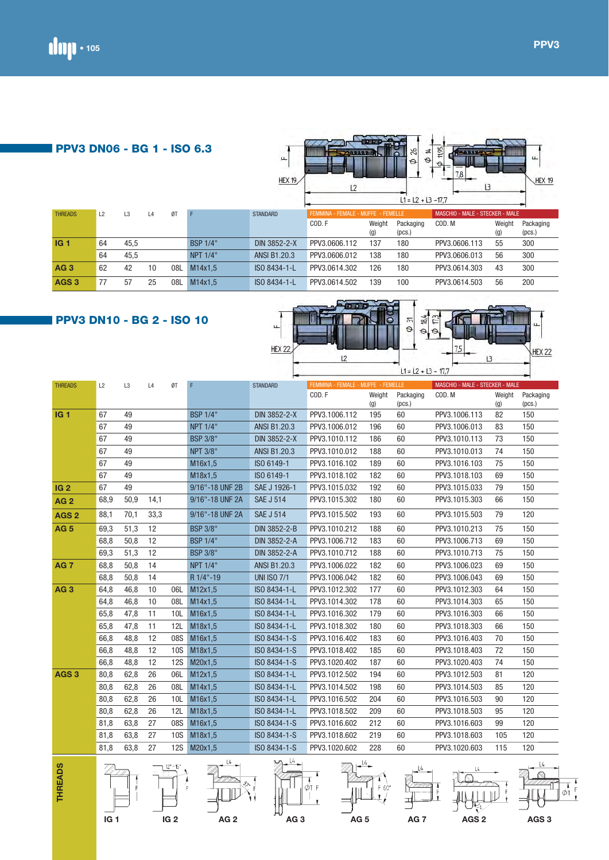| <b>PPV3 DN06 - BG 1 - ISO 6.3</b> |    |                |    |     |                 | p.<br>HEX 19        | <b>STARRA</b><br>L <sub>2</sub>    |               | 92<br>≠<br>$\Theta$<br>$\Theta$<br>$L1 = L2 + L3 - 17.7$ | 11,95<br>$\theta$<br>7,8<br>13  |               | ш.<br><b>HEX 19</b> |
|-----------------------------------|----|----------------|----|-----|-----------------|---------------------|------------------------------------|---------------|----------------------------------------------------------|---------------------------------|---------------|---------------------|
| <b>THREADS</b>                    | L2 | L <sub>3</sub> | L4 | ØT  | F               | <b>STANDARD</b>     | FEMMINA - FEMALE - MUFFE - FEMELLE |               |                                                          | MASCHIO - MALE - STECKER - MALE |               |                     |
|                                   |    |                |    |     |                 |                     | COD.F                              | Weight<br>(g) | Packaging<br>(pcs.)                                      | COD. M                          | Weight<br>(g) | Packaging<br>(pcs.) |
| IG 1                              | 64 | 45,5           |    |     | <b>BSP 1/4"</b> | <b>DIN 3852-2-X</b> | PPV3.0606.112                      | 137           | 180                                                      | PPV3.0606.113                   | 55            | 300                 |
|                                   | 64 | 45,5           |    |     | NPT 1/4"        | <b>ANSI B1.20.3</b> | PPV3.0606.012                      | 138           | 180                                                      | PPV3.0606.013                   | 56            | 300                 |
| <b>AG3</b>                        | 62 | 42             | 10 | 08L | M14x1.5         | ISO 8434-1-L        | PPV3.0614.302                      | 126           | 180                                                      | PPV3.0614.303                   | 43            | 300                 |
| AGS <sub>3</sub>                  | 77 | 57             | 25 | 08L | M14x1.5         | ISO 8434-1-L        | PPV3.0614.502                      | 139           | 100                                                      | PPV3.0614.503                   | 56            | 200                 |

100 000 00

# **PPV3 DN10 - BG 2 - ISO 10**



| <b>THREADS</b>   | L2   | L <sub>3</sub> | L4   | ØT         | F               | <b>STANDARD</b>                                                                                                                                                                                                                                                                                                     | FEMMINA - FEMALE - MUFFE - FEMELLE |        |           | MASCHIO - MALE - STECKER - MALE |        |           |
|------------------|------|----------------|------|------------|-----------------|---------------------------------------------------------------------------------------------------------------------------------------------------------------------------------------------------------------------------------------------------------------------------------------------------------------------|------------------------------------|--------|-----------|---------------------------------|--------|-----------|
|                  |      |                |      |            |                 |                                                                                                                                                                                                                                                                                                                     | COD.F                              | Weight | Packaging | COD. M                          | Weight | Packaging |
|                  |      |                |      |            |                 |                                                                                                                                                                                                                                                                                                                     |                                    | (q)    | (pcs.)    |                                 | (g)    | (pcs.)    |
| <b>IG1</b>       | 67   | 49             |      |            | <b>BSP 1/4"</b> | <b>DIN 3852-2-X</b>                                                                                                                                                                                                                                                                                                 | PPV3.1006.112                      | 195    | 60        | PPV3.1006.113                   | 82     | 150       |
|                  | 67   | 49             |      |            | <b>NPT 1/4"</b> | <b>ANSI B1.20.3</b>                                                                                                                                                                                                                                                                                                 | PPV3.1006.012                      | 196    | 60        | PPV3.1006.013                   | 83     | 150       |
|                  | 67   | 49             |      |            | <b>BSP 3/8"</b> | <b>DIN 3852-2-X</b>                                                                                                                                                                                                                                                                                                 | PPV3.1010.112                      | 186    | 60        | PPV3.1010.113                   | 73     | 150       |
|                  | 67   | 49             |      |            | <b>NPT 3/8"</b> | <b>ANSI B1.20.3</b>                                                                                                                                                                                                                                                                                                 | PPV3.1010.012                      | 188    | 60        | PPV3.1010.013                   | 74     | 150       |
|                  | 67   | 49             |      |            | M16x1,5         | ISO 6149-1                                                                                                                                                                                                                                                                                                          | PPV3.1016.102                      | 189    | 60        | PPV3.1016.103                   | 75     | 150       |
|                  | 67   | 49             |      |            | M18x1,5         | ISO 6149-1                                                                                                                                                                                                                                                                                                          | PPV3.1018.102                      | 182    | 60        | PPV3.1018.103                   | 69     | 150       |
| <b>IG 2</b>      | 67   | 49             |      |            | 9/16"-18 UNF 2B | SAE J 1926-1                                                                                                                                                                                                                                                                                                        | PPV3.1015.032                      | 192    | 60        | PPV3.1015.033                   | 79     | 150       |
| <b>AG2</b>       | 68,9 | 50,9           | 14,1 |            | 9/16"-18 UNF 2A | <b>SAE J 514</b>                                                                                                                                                                                                                                                                                                    | PPV3.1015.302                      | 180    | 60        | PPV3.1015.303                   | 66     | 150       |
| AGS <sub>2</sub> | 88,1 | 70,1           | 33,3 |            | 9/16"-18 UNF 2A | <b>SAE J 514</b>                                                                                                                                                                                                                                                                                                    | PPV3.1015.502                      | 193    | 60        | PPV3.1015.503                   | 79     | 120       |
| <b>AG 5</b>      | 69,3 | 51,3           | 12   |            | <b>BSP 3/8"</b> | DIN 3852-2-B                                                                                                                                                                                                                                                                                                        | PPV3.1010.212                      | 188    | 60        | PPV3.1010.213                   | 75     | 150       |
|                  | 68,8 | 50,8           | 12   |            | <b>BSP 1/4"</b> | DIN 3852-2-A                                                                                                                                                                                                                                                                                                        | PPV3.1006.712                      | 183    | 60        | PPV3.1006.713                   | 69     | 150       |
|                  | 69,3 | 51,3           | 12   |            | <b>BSP 3/8"</b> | DIN 3852-2-A                                                                                                                                                                                                                                                                                                        | PPV3.1010.712                      | 188    | 60        | PPV3.1010.713                   | 75     | 150       |
| <b>AG 7</b>      | 68,8 | 50,8           | 14   |            | NPT 1/4"        | ANSI B1.20.3                                                                                                                                                                                                                                                                                                        | PPV3.1006.022                      | 182    | 60        | PPV3.1006.023                   | 69     | 150       |
|                  | 68,8 | 50,8           | 14   |            | R 1/4"-19       | <b>UNI ISO 7/1</b>                                                                                                                                                                                                                                                                                                  | PPV3.1006.042                      | 182    | 60        | PPV3.1006.043                   | 69     | 150       |
| AG <sub>3</sub>  | 64,8 | 46,8           | 10   | 06L        | M12x1,5         | ISO 8434-1-L                                                                                                                                                                                                                                                                                                        | PPV3.1012.302                      | 177    | 60        | PPV3.1012.303                   | 64     | 150       |
|                  | 64,8 | 46,8           | 10   | 08L        | M14x1,5         | ISO 8434-1-L                                                                                                                                                                                                                                                                                                        | PPV3.1014.302                      | 178    | 60        | PPV3.1014.303                   | 65     | 150       |
|                  | 65,8 | 47,8           | 11   | 10L        | M16x1,5         | ISO 8434-1-L                                                                                                                                                                                                                                                                                                        | PPV3.1016.302                      | 179    | 60        | PPV3.1016.303                   | 66     | 150       |
|                  | 65,8 | 47,8           | 11   | 12L        | M18x1,5         | ISO 8434-1-L                                                                                                                                                                                                                                                                                                        | PPV3.1018.302                      | 180    | 60        | PPV3.1018.303                   | 66     | 150       |
|                  | 66,8 | 48,8           | 12   | 08S        | M16x1,5         | ISO 8434-1-S                                                                                                                                                                                                                                                                                                        | PPV3.1016.402                      | 183    | 60        | PPV3.1016.403                   | 70     | 150       |
|                  | 66,8 | 48,8           | 12   | <b>10S</b> | M18x1,5         | ISO 8434-1-S                                                                                                                                                                                                                                                                                                        | PPV3.1018.402                      | 185    | 60        | PPV3.1018.403                   | 72     | 150       |
|                  | 66,8 | 48,8           | 12   | <b>12S</b> | M20x1,5         | ISO 8434-1-S                                                                                                                                                                                                                                                                                                        | PPV3.1020.402                      | 187    | 60        | PPV3.1020.403                   | 74     | 150       |
| AGS <sub>3</sub> | 80,8 | 62,8           | 26   | 06L        | M12x1,5         | ISO 8434-1-L                                                                                                                                                                                                                                                                                                        | PPV3.1012.502                      | 194    | 60        | PPV3.1012.503                   | 81     | 120       |
|                  | 80,8 | 62,8           | 26   | 08L        | M14x1,5         | ISO 8434-1-L                                                                                                                                                                                                                                                                                                        | PPV3.1014.502                      | 198    | 60        | PPV3.1014.503                   | 85     | 120       |
|                  | 80,8 | 62,8           | 26   | 10L        | M16x1,5         | ISO 8434-1-L                                                                                                                                                                                                                                                                                                        | PPV3.1016.502                      | 204    | 60        | PPV3.1016.503                   | 90     | 120       |
|                  | 80.8 | 62.8           | 26   | 12L        | M18x1,5         | ISO 8434-1-L                                                                                                                                                                                                                                                                                                        | PPV3.1018.502                      | 209    | 60        | PPV3.1018.503                   | 95     | 120       |
|                  | 81,8 | 63,8           | 27   | 08S        | M16x1,5         | ISO 8434-1-S                                                                                                                                                                                                                                                                                                        | PPV3.1016.602                      | 212    | 60        | PPV3.1016.603                   | 99     | 120       |
|                  | 81,8 | 63,8           | 27   | <b>10S</b> | M18x1,5         | ISO 8434-1-S                                                                                                                                                                                                                                                                                                        | PPV3.1018.602                      | 219    | 60        | PPV3.1018.603                   | 105    | 120       |
|                  | 81,8 | 63,8           | 27   | <b>12S</b> | M20x1,5         | ISO 8434-1-S                                                                                                                                                                                                                                                                                                        | PPV3.1020.602                      | 228    | 60        | PPV3.1020.603                   | 115    | 120       |
|                  |      |                |      |            | $14 - 1$        | $\frac{1}{2}$ $\frac{1}{2}$ $\frac{1}{2}$ $\frac{1}{2}$ $\frac{1}{2}$ $\frac{1}{2}$ $\frac{1}{2}$ $\frac{1}{2}$ $\frac{1}{2}$ $\frac{1}{2}$ $\frac{1}{2}$ $\frac{1}{2}$ $\frac{1}{2}$ $\frac{1}{2}$ $\frac{1}{2}$ $\frac{1}{2}$ $\frac{1}{2}$ $\frac{1}{2}$ $\frac{1}{2}$ $\frac{1}{2}$ $\frac{1}{2}$ $\frac{1}{2}$ | $\sim$ 14                          |        |           |                                 |        |           |

















 $\frac{1}{8}$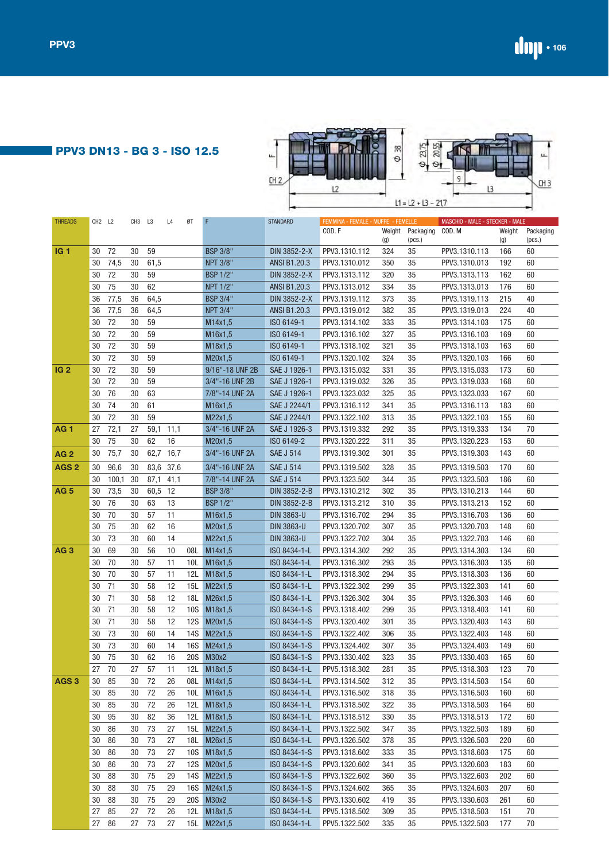# **PPV3 DN13 - BG 3 - ISO 12.5**

| ┶<br>CH <sub>2</sub> | 위<br>O               | ш |
|----------------------|----------------------|---|
|                      | $11 = 12 + 13 - 217$ |   |

| <b>THREADS</b>   | CH <sub>2</sub> L <sub>2</sub> |          | CH <sub>3</sub> | L3        | L4       | ØT                | F                  | <b>STANDARD</b>              | FEMMINA - FEMALE - MUFFE - FEMELLE |               |                     | MASCHIO - MALE - STECKER - MALE |                             |                     |
|------------------|--------------------------------|----------|-----------------|-----------|----------|-------------------|--------------------|------------------------------|------------------------------------|---------------|---------------------|---------------------------------|-----------------------------|---------------------|
|                  |                                |          |                 |           |          |                   |                    |                              | COD.F                              | Weight<br>(g) | Packaging<br>(pcs.) | COD. M                          | Weight<br>$\left( 9\right)$ | Packaging<br>(pcs.) |
| IG <sub>1</sub>  | 30                             | 72       | 30              | 59        |          |                   | <b>BSP 3/8"</b>    | DIN 3852-2-X                 | PPV3.1310.112                      | 324           | 35                  | PPV3.1310.113                   | 166                         | 60                  |
|                  | 30                             | 74,5     | 30              | 61,5      |          |                   | <b>NPT 3/8"</b>    | <b>ANSI B1.20.3</b>          | PPV3.1310.012                      | 350           | 35                  | PPV3.1310.013                   | 192                         | 60                  |
|                  | 30                             | 72       | 30              | 59        |          |                   | <b>BSP 1/2"</b>    | DIN 3852-2-X                 | PPV3.1313.112                      | 320           | 35                  | PPV3.1313.113                   | 162                         | 60                  |
|                  | 30                             | 75       | 30              | 62        |          |                   | NPT 1/2"           | ANSI B1.20.3                 | PPV3.1313.012                      | 334           | 35                  | PPV3.1313.013                   | 176                         | 60                  |
|                  | 36                             | 77,5     | 36              | 64,5      |          |                   | <b>BSP 3/4"</b>    | DIN 3852-2-X                 | PPV3.1319.112                      | 373           | 35                  | PPV3.1319.113                   | 215                         | 40                  |
|                  | 36                             | 77,5     | 36              | 64,5      |          |                   | <b>NPT 3/4"</b>    | ANSI B1.20.3                 | PPV3.1319.012                      | 382           | 35                  | PPV3.1319.013                   | 224                         | 40                  |
|                  | 30                             | 72       | 30              | 59        |          |                   | M14x1,5            | ISO 6149-1                   | PPV3.1314.102                      | 333           | 35                  | PPV3.1314.103                   | 175                         | 60                  |
|                  | 30                             | 72       | 30              | 59        |          |                   | M16x1,5            | ISO 6149-1                   | PPV3.1316.102                      | 327           | 35                  | PPV3.1316.103                   | 169                         | 60                  |
|                  | 30                             | 72       | 30              | 59        |          |                   | M18x1,5            | ISO 6149-1                   | PPV3.1318.102                      | 321           | 35                  | PPV3.1318.103                   | 163                         | 60                  |
|                  | 30                             | 72       | 30              | 59        |          |                   | M20x1,5            | ISO 6149-1                   | PPV3.1320.102                      | 324           | 35                  | PPV3.1320.103                   | 166                         | 60                  |
| IG <sub>2</sub>  | 30                             | 72       | 30              | 59        |          |                   | 9/16"-18 UNF 2B    | SAE J 1926-1                 | PPV3.1315.032                      | 331           | 35                  | PPV3.1315.033                   | 173                         | 60                  |
|                  | 30                             | 72       | 30              | 59        |          |                   | 3/4"-16 UNF 2B     | SAE J 1926-1                 | PPV3.1319.032                      | 326           | 35                  | PPV3.1319.033                   | 168                         | 60                  |
|                  | 30                             | 76       | 30              | 63        |          |                   | 7/8"-14 UNF 2A     | SAE J 1926-1                 | PPV3.1323.032                      | 325           | 35                  | PPV3.1323.033                   | 167                         | 60                  |
|                  | 30                             | 74       | 30              | 61        |          |                   | M16x1,5            | SAE J 2244/1                 | PPV3.1316.112                      | 341           | 35                  | PPV3.1316.113                   | 183                         | 60                  |
|                  | 30                             | 72       | 30              | 59        |          |                   | M22x1,5            | SAE J 2244/1                 | PPV3.1322.102                      | 313           | 35                  | PPV3.1322.103                   | 155                         | 60                  |
| AG 1             | 27                             | 72,1     | 27              | 59,1      | 11,1     |                   | 3/4"-16 UNF 2A     | SAE J 1926-3                 | PPV3.1319.332                      | 292           | 35                  | PPV3.1319.333                   | 134                         | 70                  |
|                  | 30                             | 75       | 30              | 62        | 16       |                   | M20x1,5            | ISO 6149-2                   | PPV3.1320.222                      | 311           | 35                  | PPV3.1320.223                   | 153                         | 60                  |
| AG 2             | 30                             | 75,7     | 30              | 62,7 16,7 |          |                   | 3/4"-16 UNF 2A     | <b>SAE J 514</b>             | PPV3.1319.302                      | 301           | 35                  | PPV3.1319.303                   | 143                         | 60                  |
| AGS <sub>2</sub> | 30                             | 96,6     | 30              | 83,6 37,6 |          |                   | 3/4"-16 UNF 2A     | <b>SAE J 514</b>             | PPV3.1319.502                      | 328           | 35                  | PPV3.1319.503                   | 170                         | 60                  |
|                  | 30                             | 100,1    | 30              | 87,1      | 41,1     |                   | 7/8"-14 UNF 2A     | <b>SAE J 514</b>             | PPV3.1323.502                      | 344           | 35                  | PPV3.1323.503                   | 186                         | 60                  |
| AG 5             | 30                             | 73,5     | 30              | 60,5      | 12       |                   | <b>BSP 3/8"</b>    | DIN 3852-2-B                 | PPV3.1310.212                      | 302           | 35                  | PPV3.1310.213                   | 144                         | 60                  |
|                  | 30                             | 76       | 30              | 63        | 13       |                   | <b>BSP 1/2"</b>    | DIN 3852-2-B                 | PPV3.1313.212                      | 310           | 35                  | PPV3.1313.213                   | 152                         | 60                  |
|                  | 30                             | 70       | 30              | 57        | 11       |                   | M16x1,5            | <b>DIN 3863-U</b>            | PPV3.1316.702                      | 294           | 35                  | PPV3.1316.703                   | 136                         | 60                  |
|                  | 30                             | 75       | 30              | 62        | 16       |                   | M20x1,5            | <b>DIN 3863-U</b>            | PPV3.1320.702                      | 307           | 35                  | PPV3.1320.703                   | 148                         | 60                  |
|                  | 30                             | 73       | 30              | 60        | 14       |                   | M22x1,5            | <b>DIN 3863-U</b>            | PPV3.1322.702                      | 304           | 35                  | PPV3.1322.703                   | 146                         | 60                  |
| AG <sub>3</sub>  | 30                             | 69       | 30              | 56        | 10       | 08L               | M14x1,5            | ISO 8434-1-L                 | PPV3.1314.302                      | 292           | 35                  | PPV3.1314.303                   | 134                         | 60                  |
|                  | 30                             | 70       | 30              | 57        | 11       | 10L               | M16x1,5            | ISO 8434-1-L                 | PPV3.1316.302                      | 293           | 35                  | PPV3.1316.303                   | 135                         | 60                  |
|                  | 30                             | 70       | 30              | 57        | 11       | 12L               | M18x1,5            | ISO 8434-1-L                 | PPV3.1318.302                      | 294           | 35                  | PPV3.1318.303                   | 136                         | 60                  |
|                  | 30                             | 71       | 30              | 58        | 12       | 15L               | M22x1,5            | ISO 8434-1-L                 | PPV3.1322.302                      | 299           | 35                  | PPV3.1322.303                   | 141                         | 60                  |
|                  | 30                             | 71       | 30              | 58        | 12       | 18L               | M26x1,5            | ISO 8434-1-L                 | PPV3.1326.302                      | 304           | 35                  | PPV3.1326.303                   | 146                         | 60                  |
|                  | 30                             | 71       | 30              | 58        | 12       | 10S               | M18x1,5            | ISO 8434-1-S                 | PPV3.1318.402                      | 299           | 35                  | PPV3.1318.403                   | 141                         | 60                  |
|                  | 30                             | 71       | 30              | 58        | 12       | <b>12S</b>        | M20x1,5            | ISO 8434-1-S                 | PPV3.1320.402                      | 301           | 35                  | PPV3.1320.403                   | 143                         | 60                  |
|                  | 30                             | 73       | 30              | 60        | 14       | 14S               | M22x1,5            | ISO 8434-1-S                 | PPV3.1322.402                      | 306           | 35                  | PPV3.1322.403                   | 148                         | 60                  |
|                  | 30                             | 73       | 30              | 60        | 14       | <b>16S</b>        | M24x1,5            | ISO 8434-1-S                 | PPV3.1324.402                      | 307           | 35                  | PPV3.1324.403                   | 149                         | 60                  |
|                  | 30                             | 75       | 30              | 62        | 16       | <b>20S</b>        | M30x2              | ISO 8434-1-S                 | PPV3.1330.402                      | 323           | 35                  | PPV3.1330.403                   | 165                         | 60                  |
|                  | 27                             | 70       | 27              | 57        | 11       |                   | 12L M18x1,5        | ISO 8434-1-L                 | PPV5.1318.302                      | 281           | 35                  | PPV5.1318.303                   | 123                         | 70                  |
| AGS <sub>3</sub> | 30                             | 85       | 30              | 72        | 26       |                   | 08L M14x1,5        | ISO 8434-1-L                 | PPV3.1314.502                      | 312           | 35                  | PPV3.1314.503                   | 154                         | 60                  |
|                  | 30                             | 85       | 30              | 72        | 26       |                   | 10L M16x1,5        | ISO 8434-1-L                 | PPV3.1316.502                      | 318           | 35                  | PPV3.1316.503                   | 160                         | 60                  |
|                  | 30                             | 85       | 30              | 72        | 26       |                   | 12L M18x1,5        | ISO 8434-1-L                 | PPV3.1318.502                      | 322           | 35                  | PPV3.1318.503                   | 164                         | 60                  |
|                  | 30                             | 95       | 30              | 82        | 36       |                   | 12L M18x1,5        | ISO 8434-1-L                 | PPV3.1318.512                      | 330           | 35                  | PPV3.1318.513                   | 172                         | 60                  |
|                  | 30                             | 86       | 30              | 73        | 27       |                   | 15L M22x1,5        | ISO 8434-1-L                 | PPV3.1322.502                      | 347           | 35                  | PPV3.1322.503                   | 189                         | 60                  |
|                  | 30                             | 86       | 30              | 73        | 27       | 18L               | M26x1,5            | ISO 8434-1-L                 | PPV3.1326.502                      | 378           | 35                  | PPV3.1326.503                   | 220                         | 60                  |
|                  | 30                             | 86       | 30              | 73        | 27       |                   | 10S M18x1,5        | ISO 8434-1-S                 | PPV3.1318.602                      | 333           | 35                  | PPV3.1318.603                   | 175                         | 60                  |
|                  | 30<br>30                       | 86<br>88 | 30              | 73        | 27<br>29 | <b>12S</b><br>14S | M20x1,5            | ISO 8434-1-S<br>ISO 8434-1-S | PPV3.1320.602<br>PPV3.1322.602     | 341           | 35                  | PPV3.1320.603<br>PPV3.1322.603  | 183<br>202                  | 60<br>60            |
|                  | 30                             | 88       | 30<br>30        | 75<br>75  | 29       | <b>16S</b>        | M22x1,5<br>M24x1,5 | ISO 8434-1-S                 | PPV3.1324.602                      | 360<br>365    | 35<br>35            | PPV3.1324.603                   | 207                         | 60                  |
|                  | 30                             | 88       | 30              | 75        | 29       | <b>20S</b>        | M30x2              | ISO 8434-1-S                 | PPV3.1330.602                      | 419           | 35                  | PPV3.1330.603                   | 261                         | 60                  |
|                  | 27                             | 85       | 27              | $72\,$    | 26       | 12L               | M18x1,5            | ISO 8434-1-L                 | PPV5.1318.502                      | 309           | 35                  | PPV5.1318.503                   | 151                         | 70                  |
|                  | 27                             | 86       | 27              | $73\,$    | 27       |                   | 15L M22x1,5        | ISO 8434-1-L                 | PPV5.1322.502                      | 335           | 35                  | PPV5.1322.503                   | 177                         | 70                  |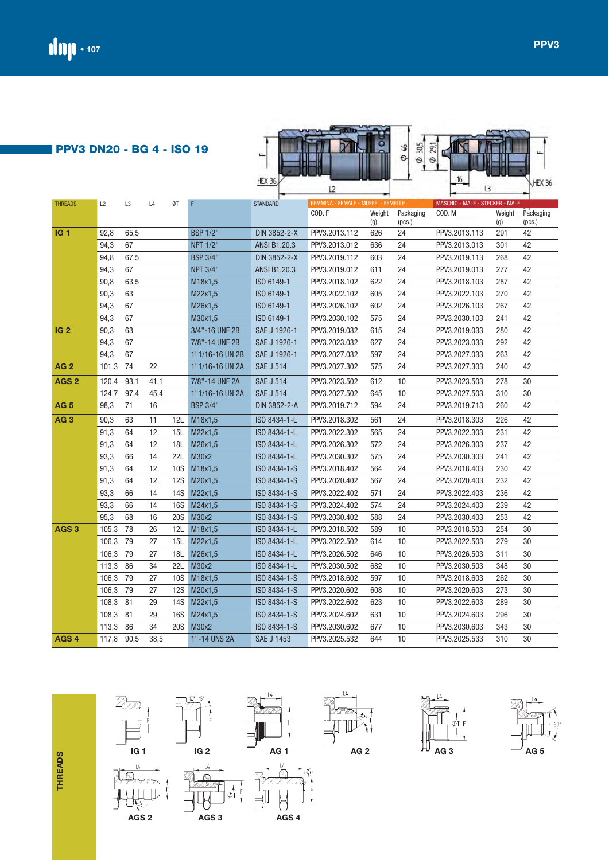| ட<br>$\overline{\phantom{a}}$ | u<br>c<br>╙<br>,,              |
|-------------------------------|--------------------------------|
| - Has<br>- C                  | 16<br>÷<br><b>The Contract</b> |

| <b>THREADS</b>   | L2<br>L3<br>L4<br>ØT<br>F |      | <b>STANDARD</b> | FEMMINA - FEMALE - MUFFE - FEMELLE |                 |                     | MASCHIO - MALE - STECKER - MALE |        |           |               |        |           |
|------------------|---------------------------|------|-----------------|------------------------------------|-----------------|---------------------|---------------------------------|--------|-----------|---------------|--------|-----------|
|                  |                           |      |                 |                                    |                 |                     | COD.F                           | Weight | Packaging | COD. M        | Weight | Packaging |
|                  |                           |      |                 |                                    |                 |                     |                                 | (g)    | (pcs.)    |               | (g)    | (pcs.)    |
| <b>IG1</b>       | 92,8                      | 65,5 |                 |                                    | <b>BSP 1/2"</b> | DIN 3852-2-X        | PPV3.2013.112                   | 626    | 24        | PPV3.2013.113 | 291    | 42        |
|                  | 94,3                      | 67   |                 |                                    | <b>NPT 1/2"</b> | <b>ANSI B1.20.3</b> | PPV3.2013.012                   | 636    | 24        | PPV3.2013.013 | 301    | 42        |
|                  | 94,8                      | 67,5 |                 |                                    | <b>BSP 3/4"</b> | DIN 3852-2-X        | PPV3.2019.112                   | 603    | 24        | PPV3.2019.113 | 268    | 42        |
|                  | 94,3                      | 67   |                 |                                    | <b>NPT 3/4"</b> | <b>ANSI B1.20.3</b> | PPV3.2019.012                   | 611    | 24        | PPV3.2019.013 | 277    | 42        |
|                  | 90,8                      | 63,5 |                 |                                    | M18x1,5         | ISO 6149-1          | PPV3.2018.102                   | 622    | 24        | PPV3.2018.103 | 287    | 42        |
|                  | 90,3                      | 63   |                 |                                    | M22x1,5         | ISO 6149-1          | PPV3.2022.102                   | 605    | 24        | PPV3.2022.103 | 270    | 42        |
|                  | 94,3                      | 67   |                 |                                    | M26x1,5         | ISO 6149-1          | PPV3.2026.102                   | 602    | 24        | PPV3.2026.103 | 267    | 42        |
|                  | 94,3                      | 67   |                 |                                    | M30x1,5         | ISO 6149-1          | PPV3.2030.102                   | 575    | 24        | PPV3.2030.103 | 241    | 42        |
| IG <sub>2</sub>  | 90,3                      | 63   |                 |                                    | 3/4"-16 UNF 2B  | SAE J 1926-1        | PPV3.2019.032                   | 615    | 24        | PPV3.2019.033 | 280    | 42        |
|                  | 94,3                      | 67   |                 |                                    | 7/8"-14 UNF 2B  | SAE J 1926-1        | PPV3.2023.032                   | 627    | 24        | PPV3.2023.033 | 292    | 42        |
|                  | 94,3                      | 67   |                 |                                    | 1"1/16-16 UN 2B | SAE J 1926-1        | PPV3.2027.032                   | 597    | 24        | PPV3.2027.033 | 263    | 42        |
| AG <sub>2</sub>  | 101,3                     | 74   | 22              |                                    | 1"1/16-16 UN 2A | <b>SAE J 514</b>    | PPV3.2027.302                   | 575    | 24        | PPV3.2027.303 | 240    | 42        |
| AGS <sub>2</sub> | 120,4                     | 93,1 | 41,1            |                                    | 7/8"-14 UNF 2A  | <b>SAE J 514</b>    | PPV3.2023.502                   | 612    | 10        | PPV3.2023.503 | 278    | 30        |
|                  | 124,7                     | 97,4 | 45,4            |                                    | 1"1/16-16 UN 2A | <b>SAE J 514</b>    | PPV3.2027.502                   | 645    | 10        | PPV3.2027.503 | 310    | 30        |
| <b>AG 5</b>      | 98,3                      | 71   | 16              |                                    | <b>BSP 3/4"</b> | DIN 3852-2-A        | PPV3.2019.712                   | 594    | 24        | PPV3.2019.713 | 260    | 42        |
| AG <sub>3</sub>  | 90,3                      | 63   | 11              | 12L                                | M18x1,5         | ISO 8434-1-L        | PPV3.2018.302                   | 561    | 24        | PPV3.2018.303 | 226    | 42        |
|                  | 91,3                      | 64   | 12              | 15L                                | M22x1,5         | ISO 8434-1-L        | PPV3.2022.302                   | 565    | 24        | PPV3.2022.303 | 231    | 42        |
|                  | 91,3                      | 64   | 12              | 18L                                | M26x1,5         | ISO 8434-1-L        | PPV3.2026.302                   | 572    | 24        | PPV3.2026.303 | 237    | 42        |
|                  | 93,3                      | 66   | 14              | 22L                                | M30x2           | ISO 8434-1-L        | PPV3.2030.302                   | 575    | 24        | PPV3.2030.303 | 241    | 42        |
|                  | 91,3                      | 64   | 12              | 10S                                | M18x1,5         | ISO 8434-1-S        | PPV3.2018.402                   | 564    | 24        | PPV3.2018.403 | 230    | 42        |
|                  | 91,3                      | 64   | 12              | 12S                                | M20x1,5         | ISO 8434-1-S        | PPV3.2020.402                   | 567    | 24        | PPV3.2020.403 | 232    | 42        |
|                  | 93,3                      | 66   | 14              | 14S                                | M22x1,5         | ISO 8434-1-S        | PPV3.2022.402                   | 571    | 24        | PPV3.2022.403 | 236    | 42        |
|                  | 93,3                      | 66   | 14              | 16S                                | M24x1,5         | ISO 8434-1-S        | PPV3.2024.402                   | 574    | 24        | PPV3.2024.403 | 239    | 42        |
|                  | 95,3                      | 68   | 16              | <b>20S</b>                         | M30x2           | ISO 8434-1-S        | PPV3.2030.402                   | 588    | 24        | PPV3.2030.403 | 253    | 42        |
| AGS <sub>3</sub> | 105,3                     | 78   | 26              | 12L                                | M18x1,5         | ISO 8434-1-L        | PPV3.2018.502                   | 589    | 10        | PPV3.2018.503 | 254    | 30        |
|                  | 106,3                     | 79   | 27              | 15L                                | M22x1,5         | ISO 8434-1-L        | PPV3.2022.502                   | 614    | 10        | PPV3.2022.503 | 279    | 30        |
|                  | 106,3                     | 79   | 27              | 18L                                | M26x1,5         | ISO 8434-1-L        | PPV3.2026.502                   | 646    | 10        | PPV3.2026.503 | 311    | 30        |
|                  | 113,3                     | 86   | 34              | <b>22L</b>                         | M30x2           | ISO 8434-1-L        | PPV3.2030.502                   | 682    | 10        | PPV3.2030.503 | 348    | 30        |
|                  | 106,3                     | 79   | 27              | <b>10S</b>                         | M18x1,5         | ISO 8434-1-S        | PPV3.2018.602                   | 597    | 10        | PPV3.2018.603 | 262    | 30        |
|                  | 106,3                     | 79   | 27              | <b>12S</b>                         | M20x1,5         | ISO 8434-1-S        | PPV3.2020.602                   | 608    | 10        | PPV3.2020.603 | 273    | 30        |
|                  | 108,3                     | 81   | 29              | <b>14S</b>                         | M22x1,5         | ISO 8434-1-S        | PPV3.2022.602                   | 623    | 10        | PPV3.2022.603 | 289    | 30        |
|                  | 108,3                     | 81   | 29              | <b>16S</b>                         | M24x1,5         | ISO 8434-1-S        | PPV3.2024.602                   | 631    | 10        | PPV3.2024.603 | 296    | 30        |
|                  | 113,3                     | 86   | 34              | <b>20S</b>                         | M30x2           | ISO 8434-1-S        | PPV3.2030.602                   | 677    | 10        | PPV3.2030.603 | 343    | 30        |
| AGS <sub>4</sub> | 117,8 90,5                |      | 38,5            |                                    | 1"-14 UNS 2A    | <b>SAE J 1453</b>   | PPV3.2025.532                   | 644    | 10        | PPV3.2025.533 | 310    | 30        |

**THREADS THREADS**







-<br>中



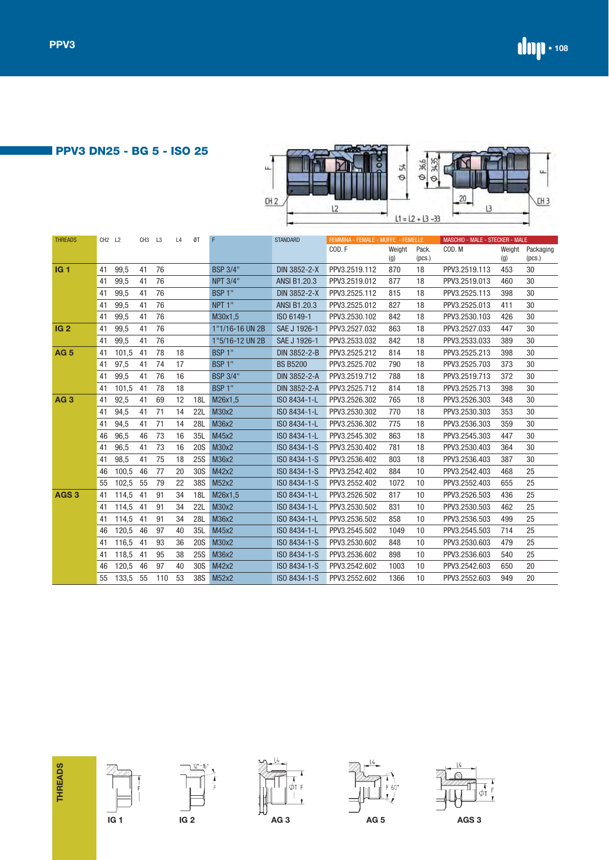**PPV3 DN25 - BG 5 - ISO 25** 



| <b>THREADS</b>   | CH <sub>2</sub> L <sub>2</sub> |       | CH <sub>3</sub> | L3  | L4 | ØT         | F                  | <b>STANDARD</b>     | FEMMINA - FEMALE - MUFFE - FEMELLE |               |                 | MASCHIO - MALE - STECKER - MALE |               |                     |
|------------------|--------------------------------|-------|-----------------|-----|----|------------|--------------------|---------------------|------------------------------------|---------------|-----------------|---------------------------------|---------------|---------------------|
|                  |                                |       |                 |     |    |            |                    |                     | COD.F                              | Weight<br>(g) | Pack.<br>(pcs.) | COD. M                          | Weight<br>(g) | Packaging<br>(pcs.) |
| <b>IG1</b>       | 41                             | 99,5  | 41              | 76  |    |            | <b>BSP 3/4"</b>    | DIN 3852-2-X        | PPV3.2519.112                      | 870           | 18              | PPV3.2519.113                   | 453           | 30                  |
|                  | 41                             | 99,5  | 41              | 76  |    |            | <b>NPT 3/4"</b>    | <b>ANSI B1.20.3</b> | PPV3.2519.012                      | 877           | 18              | PPV3.2519.013                   | 460           | 30                  |
|                  | 41                             | 99,5  | 41              | 76  |    |            | BSP <sub>1</sub> " | DIN 3852-2-X        | PPV3.2525.112                      | 815           | 18              | PPV3.2525.113                   | 398           | 30                  |
|                  | 41                             | 99,5  | 41              | 76  |    |            | NPT <sub>1</sub> " | <b>ANSI B1.20.3</b> | PPV3.2525.012                      | 827           | 18              | PPV3.2525.013                   | 411           | 30                  |
|                  | 41                             | 99,5  | 41              | 76  |    |            | M30x1,5            | ISO 6149-1          | PPV3.2530.102                      | 842           | 18              | PPV3.2530.103                   | 426           | 30                  |
| IG <sub>2</sub>  | 41                             | 99,5  | 41              | 76  |    |            | 1"1/16-16 UN 2B    | SAE J 1926-1        | PPV3.2527.032                      | 863           | 18              | PPV3.2527.033                   | 447           | 30                  |
|                  | 41                             | 99,5  | 41              | 76  |    |            | 1"5/16-12 UN 2B    | SAE J 1926-1        | PPV3.2533.032                      | 842           | 18              | PPV3.2533.033                   | 389           | 30                  |
| <b>AG 5</b>      | 41                             | 101,5 | 41              | 78  | 18 |            | BSP <sub>1</sub> " | DIN 3852-2-B        | PPV3.2525.212                      | 814           | 18              | PPV3.2525.213                   | 398           | 30                  |
|                  | 41                             | 97,5  | 41              | 74  | 17 |            | BSP <sub>1</sub> " | <b>BS B5200</b>     | PPV3.2525.702                      | 790           | 18              | PPV3.2525.703                   | 373           | 30                  |
|                  | 41                             | 99,5  | 41              | 76  | 16 |            | <b>BSP 3/4"</b>    | DIN 3852-2-A        | PPV3.2519.712                      | 788           | 18              | PPV3.2519.713                   | 372           | 30                  |
|                  | 41                             | 101,5 | 41              | 78  | 18 |            | BSP <sub>1</sub> " | DIN 3852-2-A        | PPV3.2525.712                      | 814           | 18              | PPV3.2525.713                   | 398           | 30                  |
| <b>AG3</b>       | 41                             | 92,5  | 41              | 69  | 12 | 18L        | M26x1,5            | ISO 8434-1-L        | PPV3.2526.302                      | 765           | 18              | PPV3.2526.303                   | 348           | 30                  |
|                  | 41                             | 94,5  | 41              | 71  | 14 | <b>22L</b> | M30x2              | ISO 8434-1-L        | PPV3.2530.302                      | 770           | 18              | PPV3.2530.303                   | 353           | 30                  |
|                  | 41                             | 94,5  | 41              | 71  | 14 | 28L        | M36x2              | ISO 8434-1-L        | PPV3.2536.302                      | 775           | 18              | PPV3.2536.303                   | 359           | 30                  |
|                  | 46                             | 96,5  | 46              | 73  | 16 | 35L        | M45x2              | ISO 8434-1-L        | PPV3.2545.302                      | 863           | 18              | PPV3.2545.303                   | 447           | 30                  |
|                  | 41                             | 96,5  | 41              | 73  | 16 | <b>20S</b> | M30x2              | ISO 8434-1-S        | PPV3.2530.402                      | 781           | 18              | PPV3.2530.403                   | 364           | 30                  |
|                  | 41                             | 98,5  | 41              | 75  | 18 | <b>25S</b> | M36x2              | ISO 8434-1-S        | PPV3.2536.402                      | 803           | 18              | PPV3.2536.403                   | 387           | 30                  |
|                  | 46                             | 100,5 | 46              | 77  | 20 | 30S        | M42x2              | ISO 8434-1-S        | PPV3.2542.402                      | 884           | 10              | PPV3.2542.403                   | 468           | 25                  |
|                  | 55                             | 102,5 | 55              | 79  | 22 | 38S        | M52x2              | ISO 8434-1-S        | PPV3.2552.402                      | 1072          | 10              | PPV3.2552.403                   | 655           | 25                  |
| AGS <sub>3</sub> | 41                             | 114,5 | 41              | 91  | 34 | 18L        | M26x1,5            | ISO 8434-1-L        | PPV3.2526.502                      | 817           | 10              | PPV3.2526.503                   | 436           | 25                  |
|                  | 41                             | 114,5 | 41              | 91  | 34 | <b>22L</b> | M30x2              | ISO 8434-1-L        | PPV3.2530.502                      | 831           | 10              | PPV3.2530.503                   | 462           | 25                  |
|                  | 41                             | 114,5 | 41              | 91  | 34 | <b>28L</b> | M36x2              | ISO 8434-1-L        | PPV3.2536.502                      | 858           | 10              | PPV3.2536.503                   | 499           | 25                  |
|                  | 46                             | 120,5 | 46              | 97  | 40 | 35L        | M45x2              | ISO 8434-1-L        | PPV3.2545.502                      | 1049          | 10              | PPV3.2545.503                   | 714           | 25                  |
|                  | 41                             | 116.5 | 41              | 93  | 36 | <b>20S</b> | M30x2              | ISO 8434-1-S        | PPV3.2530.602                      | 848           | 10              | PPV3.2530.603                   | 479           | 25                  |
|                  | 41                             | 118,5 | 41              | 95  | 38 | <b>25S</b> | M36x2              | ISO 8434-1-S        | PPV3.2536.602                      | 898           | 10              | PPV3.2536.603                   | 540           | 25                  |
|                  | 46                             | 120,5 | 46              | 97  | 40 | 30S        | M42x2              | ISO 8434-1-S        | PPV3.2542.602                      | 1003          | 10              | PPV3.2542.603                   | 650           | 20                  |
|                  | 55                             | 133,5 | 55              | 110 | 53 | 38S        | M52x2              | ISO 8434-1-S        | PPV3.2552.602                      | 1366          | 10              | PPV3.2552.603                   | 949           | 20                  |